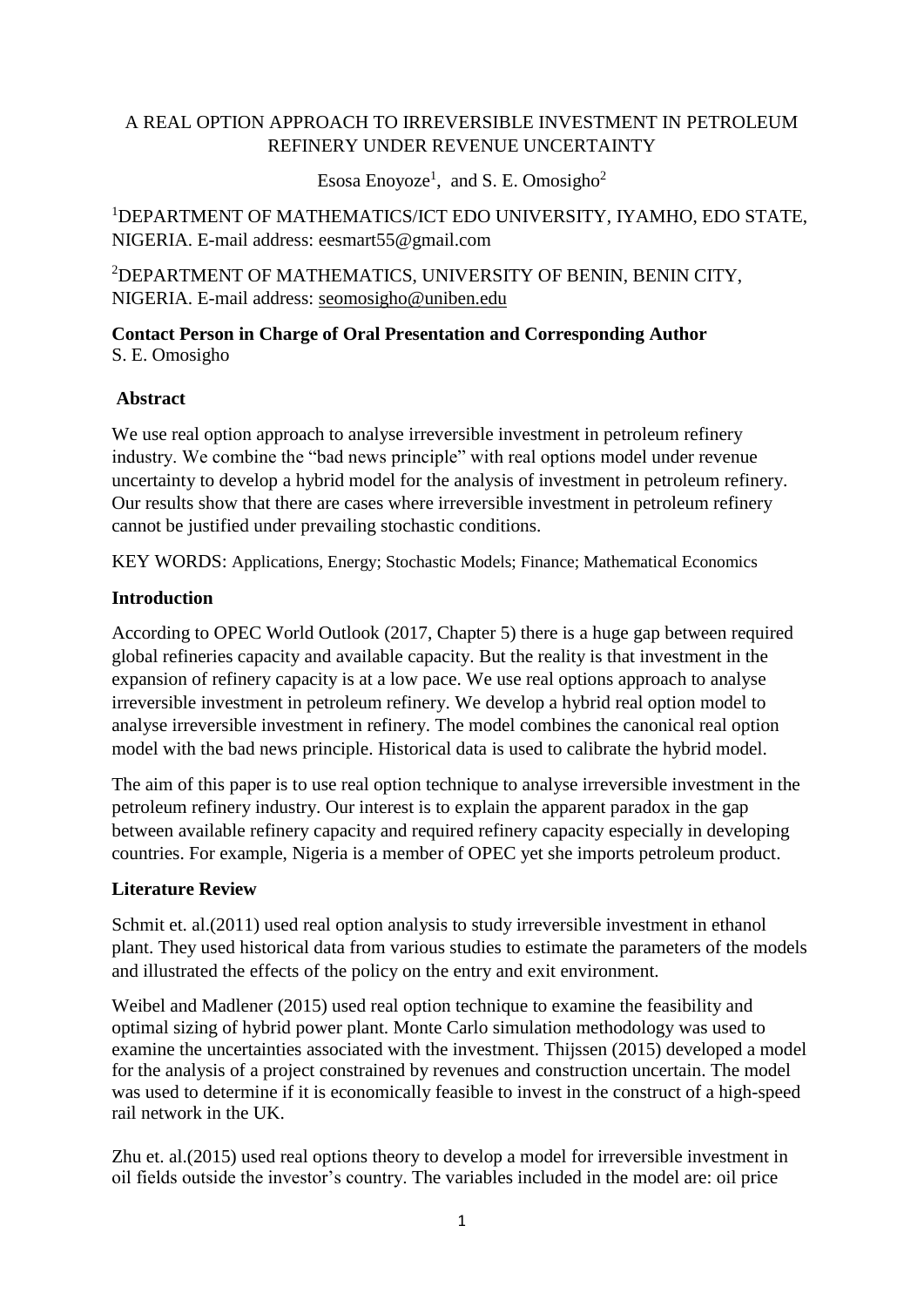# A REAL OPTION APPROACH TO IRREVERSIBLE INVESTMENT IN PETROLEUM REFINERY UNDER REVENUE UNCERTAINTY

Esosa Enoyoze<sup>1</sup>, and S. E. Omosigho<sup>2</sup>

<sup>1</sup>DEPARTMENT OF MATHEMATICS/ICT EDO UNIVERSITY, IYAMHO, EDO STATE, NIGERIA. E-mail address: eesmart55@gmail.com

<sup>2</sup>DEPARTMENT OF MATHEMATICS, UNIVERSITY OF BENIN, BENIN CITY, NIGERIA. E-mail address: [seomosigho@uniben.edu](mailto:seomosigho@uniben.edu)

**Contact Person in Charge of Oral Presentation and Corresponding Author** S. E. Omosigho

### **Abstract**

We use real option approach to analyse irreversible investment in petroleum refinery industry. We combine the "bad news principle" with real options model under revenue uncertainty to develop a hybrid model for the analysis of investment in petroleum refinery. Our results show that there are cases where irreversible investment in petroleum refinery cannot be justified under prevailing stochastic conditions.

KEY WORDS: Applications, Energy; Stochastic Models; Finance; Mathematical Economics

### **Introduction**

According to OPEC World Outlook (2017, Chapter 5) there is a huge gap between required global refineries capacity and available capacity. But the reality is that investment in the expansion of refinery capacity is at a low pace. We use real options approach to analyse irreversible investment in petroleum refinery. We develop a hybrid real option model to analyse irreversible investment in refinery. The model combines the canonical real option model with the bad news principle. Historical data is used to calibrate the hybrid model.

The aim of this paper is to use real option technique to analyse irreversible investment in the petroleum refinery industry. Our interest is to explain the apparent paradox in the gap between available refinery capacity and required refinery capacity especially in developing countries. For example, Nigeria is a member of OPEC yet she imports petroleum product.

## **Literature Review**

Schmit et. al. (2011) used real option analysis to study irreversible investment in ethanol plant. They used historical data from various studies to estimate the parameters of the models and illustrated the effects of the policy on the entry and exit environment.

Weibel and Madlener (2015) used real option technique to examine the feasibility and optimal sizing of hybrid power plant. Monte Carlo simulation methodology was used to examine the uncertainties associated with the investment. Thijssen (2015) developed a model for the analysis of a project constrained by revenues and construction uncertain. The model was used to determine if it is economically feasible to invest in the construct of a high-speed rail network in the UK.

Zhu et. al.(2015) used real options theory to develop a model for irreversible investment in oil fields outside the investor's country. The variables included in the model are: oil price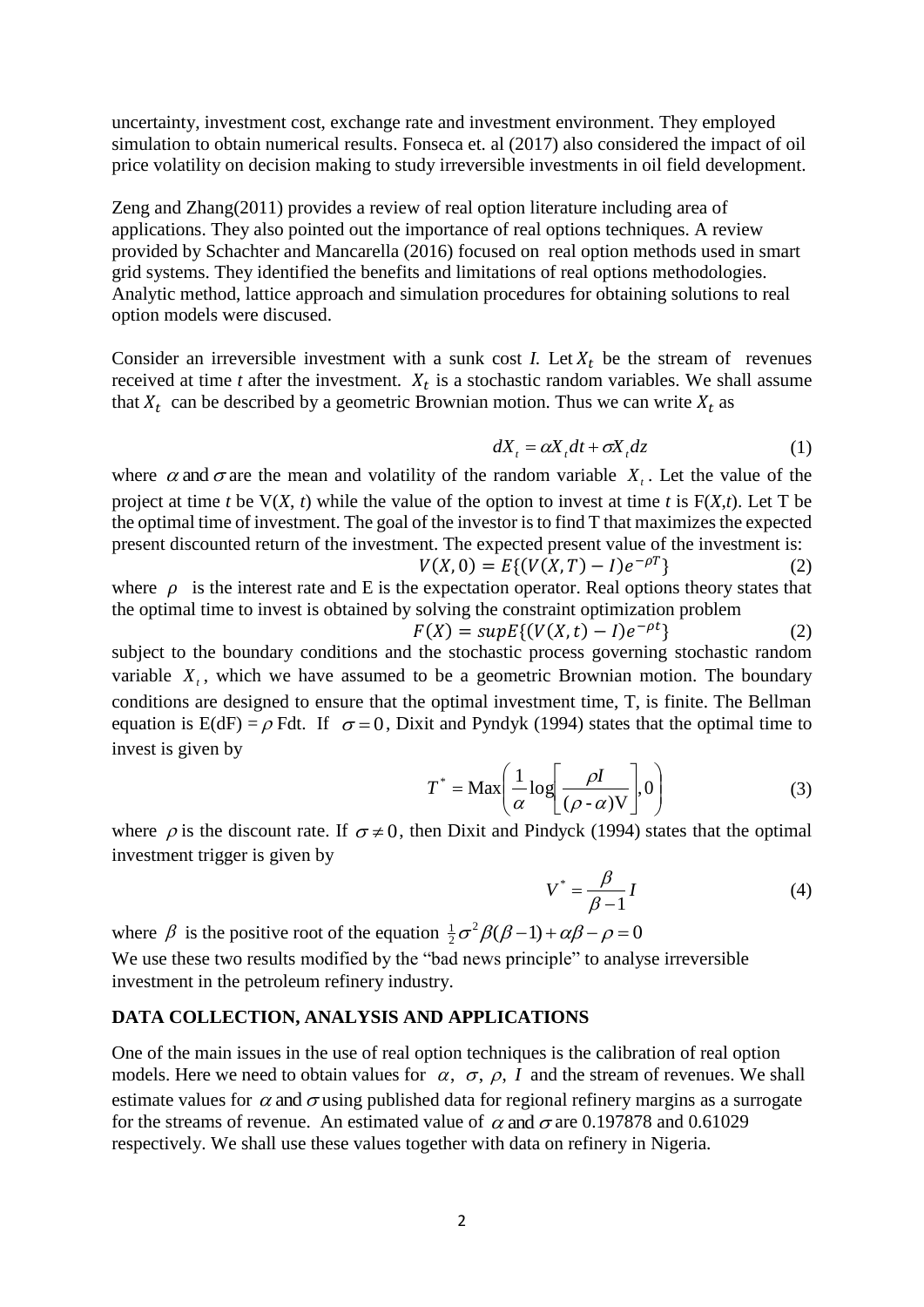uncertainty, investment cost, exchange rate and investment environment. They employed simulation to obtain numerical results. Fonseca et. al (2017) also considered the impact of oil price volatility on decision making to study irreversible investments in oil field development.

Zeng and Zhang(2011) provides a review of real option literature including area of applications. They also pointed out the importance of real options techniques. A review provided by Schachter and Mancarella (2016) focused on real option methods used in smart grid systems. They identified the benefits and limitations of real options methodologies. Analytic method, lattice approach and simulation procedures for obtaining solutions to real option models were discused.

Consider an irreversible investment with a sunk cost *I*. Let  $X_t$  be the stream of revenues received at time  $t$  after the investment.  $X_t$  is a stochastic random variables. We shall assume that  $X_t$  can be described by a geometric Brownian motion. Thus we can write  $X_t$  as

$$
dX_t = \alpha X_t dt + \sigma X_t dz \tag{1}
$$

where  $\alpha$  and  $\sigma$  are the mean and volatility of the random variable  $X<sub>t</sub>$ . Let the value of the project at time *t* be  $V(X, t)$  while the value of the option to invest at time *t* is  $F(X,t)$ . Let T be the optimal time of investment. The goal of the investor is to find T that maximizes the expected present discounted return of the investment. The expected present value of the investment is:  $V(X, 0) = E\{(V(X, T) - I)e^{-\rho T}\}\$  (2)

where  $\rho$  is the interest rate and E is the expectation operator. Real options theory states that the optimal time to invest is obtained by solving the constraint optimization problem

 $F(X) = supp\{ (V(X,t) - I)e^{-\rho t} \}$  (2) subject to the boundary conditions and the stochastic process governing stochastic random variable  $X_t$ , which we have assumed to be a geometric Brownian motion. The boundary conditions are designed to ensure that the optimal investment time, T, is finite. The Bellman equation is  $E(dF) = \rho Fdt$ . If  $\sigma = 0$ , Dixit and Pyndyk (1994) states that the optimal time to invest is given by

$$
T^* = \text{Max}\left(\frac{1}{\alpha}\log\left[\frac{\rho I}{(\rho - \alpha)V}\right], 0\right) \tag{3}
$$

where  $\rho$  is the discount rate. If  $\sigma \neq 0$ , then Dixit and Pindyck (1994) states that the optimal investment trigger is given by

$$
V^* = \frac{\beta}{\beta - 1} I \tag{4}
$$

where  $\beta$  is the positive root of the equation  $\frac{1}{2}\sigma^2 \beta(\beta-1) + \alpha \beta - \rho = 0$  $\frac{1}{2}\sigma^2\beta(\beta-1)+\alpha\beta-\rho=$ We use these two results modified by the "bad news principle" to analyse irreversible investment in the petroleum refinery industry.

#### **DATA COLLECTION, ANALYSIS AND APPLICATIONS**

One of the main issues in the use of real option techniques is the calibration of real option models. Here we need to obtain values for  $\alpha$ ,  $\sigma$ ,  $\rho$ , *I* and the stream of revenues. We shall estimate values for  $\alpha$  and  $\sigma$  using published data for regional refinery margins as a surrogate for the streams of revenue. An estimated value of  $\alpha$  and  $\sigma$  are 0.197878 and 0.61029 respectively. We shall use these values together with data on refinery in Nigeria.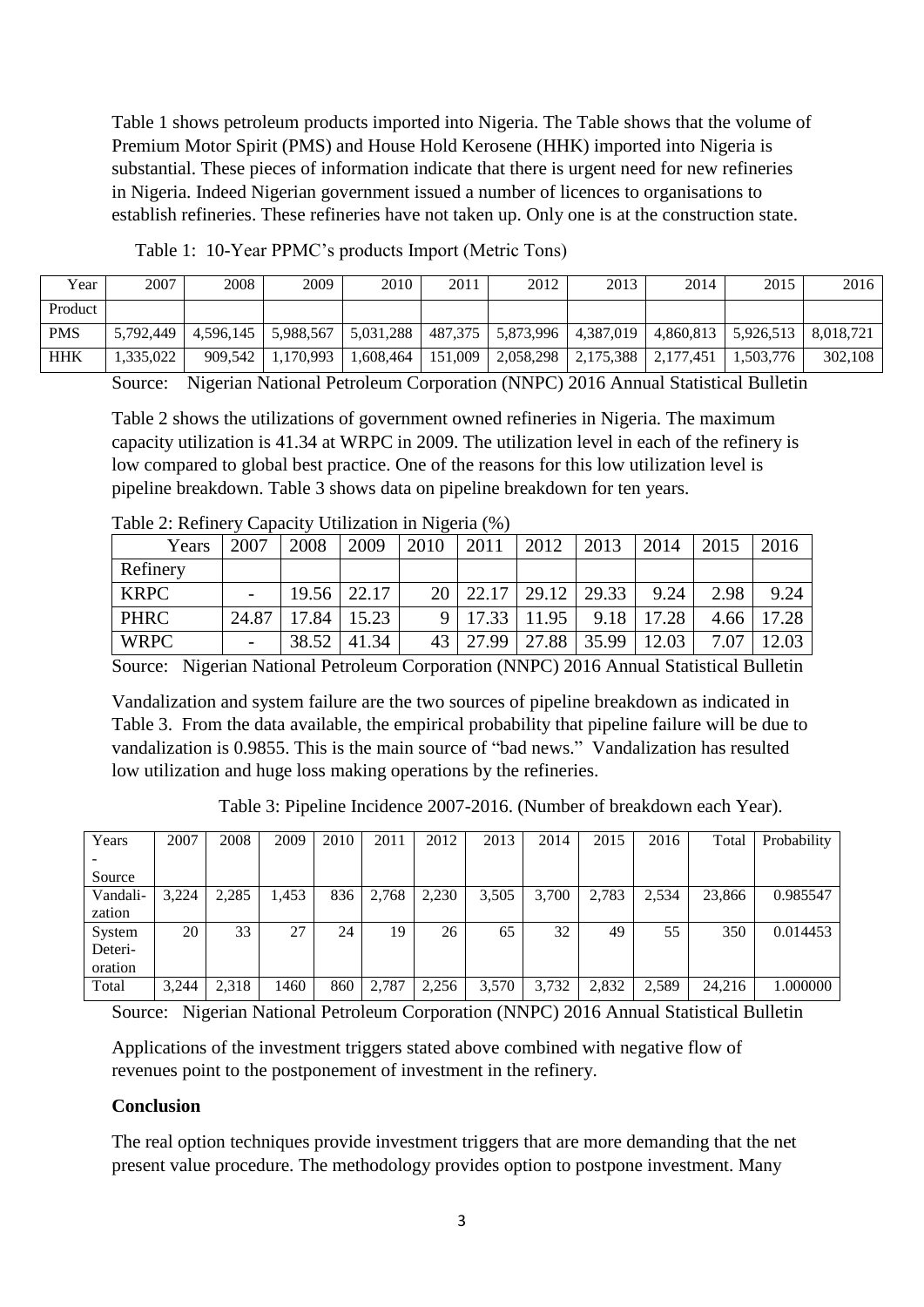Table 1 shows petroleum products imported into Nigeria. The Table shows that the volume of Premium Motor Spirit (PMS) and House Hold Kerosene (HHK) imported into Nigeria is substantial. These pieces of information indicate that there is urgent need for new refineries in Nigeria. Indeed Nigerian government issued a number of licences to organisations to establish refineries. These refineries have not taken up. Only one is at the construction state.

| Year       | 2007      | 2008      | 2009      | 2010      | 2011    | 2012      | 2013      | 2014      | 2015      | 2016      |
|------------|-----------|-----------|-----------|-----------|---------|-----------|-----------|-----------|-----------|-----------|
| Product    |           |           |           |           |         |           |           |           |           |           |
| <b>PMS</b> | 5,792,449 | 4,596,145 | 5.988.567 | 5,031,288 | 487,375 | 5,873,996 | 4,387,019 | 4,860,813 | 5,926,513 | 8.018.721 |
| <b>HHK</b> | 1,335,022 | 909.542   | .170.993  | ,608,464  | 151.009 | 2,058,298 | 2,175,388 | 2.177.451 | 1,503,776 | 302,108   |

Table 1: 10-Year PPMC's products Import (Metric Tons)

Source: Nigerian National Petroleum Corporation (NNPC) 2016 Annual Statistical Bulletin

Table 2 shows the utilizations of government owned refineries in Nigeria. The maximum capacity utilization is 41.34 at WRPC in 2009. The utilization level in each of the refinery is low compared to global best practice. One of the reasons for this low utilization level is pipeline breakdown. Table 3 shows data on pipeline breakdown for ten years.

| Years       | 2007  | 2008        | 2009  | 2010            | 2011                | 2012  | 2013  | 2014  | 2015 | 2016  |
|-------------|-------|-------------|-------|-----------------|---------------------|-------|-------|-------|------|-------|
| Refinery    |       |             |       |                 |                     |       |       |       |      |       |
| <b>KRPC</b> |       | 19.56 22.17 |       |                 | $20 \mid 22.17$     | 29.12 | 29.33 | 9.24  | 2.98 | 9.24  |
| <b>PHRC</b> | 24.87 | 17.84       | 15.23 |                 | $9 \mid 17.33 \mid$ | 11.95 | 9.18  | 17.28 | 4.66 | 17.28 |
| <b>WRPC</b> |       | 38.52       | 41.34 | 43 <sup>1</sup> | 27.99               | 27.88 | 35.99 | 12.03 | 7.07 | 12.03 |

Table 2: Refinery Capacity Utilization in Nigeria (%)

Source: Nigerian National Petroleum Corporation (NNPC) 2016 Annual Statistical Bulletin

Vandalization and system failure are the two sources of pipeline breakdown as indicated in Table 3. From the data available, the empirical probability that pipeline failure will be due to vandalization is 0.9855. This is the main source of "bad news." Vandalization has resulted low utilization and huge loss making operations by the refineries.

Table 3: Pipeline Incidence 2007-2016. (Number of breakdown each Year).

| Years    | 2007  | 2008  | 2009  | 2010 | 2011  | 2012  | 2013  | 2014  | 2015  | 2016  | Total  | Probability |
|----------|-------|-------|-------|------|-------|-------|-------|-------|-------|-------|--------|-------------|
|          |       |       |       |      |       |       |       |       |       |       |        |             |
| Source   |       |       |       |      |       |       |       |       |       |       |        |             |
| Vandali- | 3,224 | 2,285 | 1,453 | 836  | 2,768 | 2,230 | 3,505 | 3,700 | 2,783 | 2,534 | 23,866 | 0.985547    |
| zation   |       |       |       |      |       |       |       |       |       |       |        |             |
| System   | 20    | 33    | 27    | 24   | 19    | 26    | 65    | 32    | 49    | 55    | 350    | 0.014453    |
| Deteri-  |       |       |       |      |       |       |       |       |       |       |        |             |
| oration  |       |       |       |      |       |       |       |       |       |       |        |             |
| Total    | 3,244 | 2,318 | 1460  | 860  | 2,787 | 2,256 | 3,570 | 3,732 | 2,832 | 2,589 | 24,216 | 000000.1    |

Source: Nigerian National Petroleum Corporation (NNPC) 2016 Annual Statistical Bulletin

Applications of the investment triggers stated above combined with negative flow of revenues point to the postponement of investment in the refinery.

## **Conclusion**

The real option techniques provide investment triggers that are more demanding that the net present value procedure. The methodology provides option to postpone investment. Many